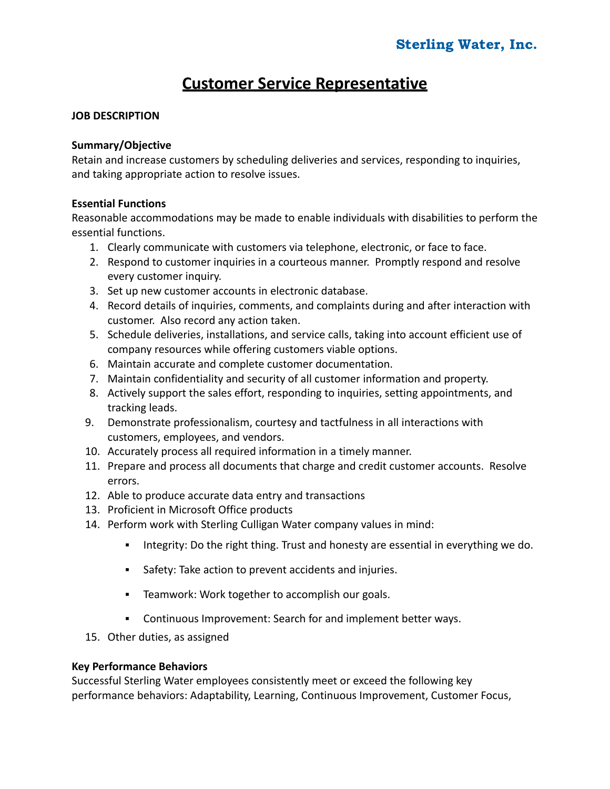# **Customer Service Representative**

## **JOB DESCRIPTION**

#### **Summary/Objective**

Retain and increase customers by scheduling deliveries and services, responding to inquiries, and taking appropriate action to resolve issues.

#### **Essential Functions**

Reasonable accommodations may be made to enable individuals with disabilities to perform the essential functions.

- 1. Clearly communicate with customers via telephone, electronic, or face to face.
- 2. Respond to customer inquiries in a courteous manner. Promptly respond and resolve every customer inquiry.
- 3. Set up new customer accounts in electronic database.
- 4. Record details of inquiries, comments, and complaints during and after interaction with customer. Also record any action taken.
- 5. Schedule deliveries, installations, and service calls, taking into account efficient use of company resources while offering customers viable options.
- 6. Maintain accurate and complete customer documentation.
- 7. Maintain confidentiality and security of all customer information and property.
- 8. Actively support the sales effort, responding to inquiries, setting appointments, and tracking leads.
- 9. Demonstrate professionalism, courtesy and tactfulness in all interactions with customers, employees, and vendors.
- 10. Accurately process all required information in a timely manner.
- 11. Prepare and process all documents that charge and credit customer accounts. Resolve errors.
- 12. Able to produce accurate data entry and transactions
- 13. Proficient in Microsoft Office products
- 14. Perform work with Sterling Culligan Water company values in mind:
	- **•** Integrity: Do the right thing. Trust and honesty are essential in everything we do.
	- Safety: Take action to prevent accidents and injuries.
	- Teamwork: Work together to accomplish our goals.
	- Continuous Improvement: Search for and implement better ways.
- 15. Other duties, as assigned

#### **Key Performance Behaviors**

Successful Sterling Water employees consistently meet or exceed the following key performance behaviors: Adaptability, Learning, Continuous Improvement, Customer Focus,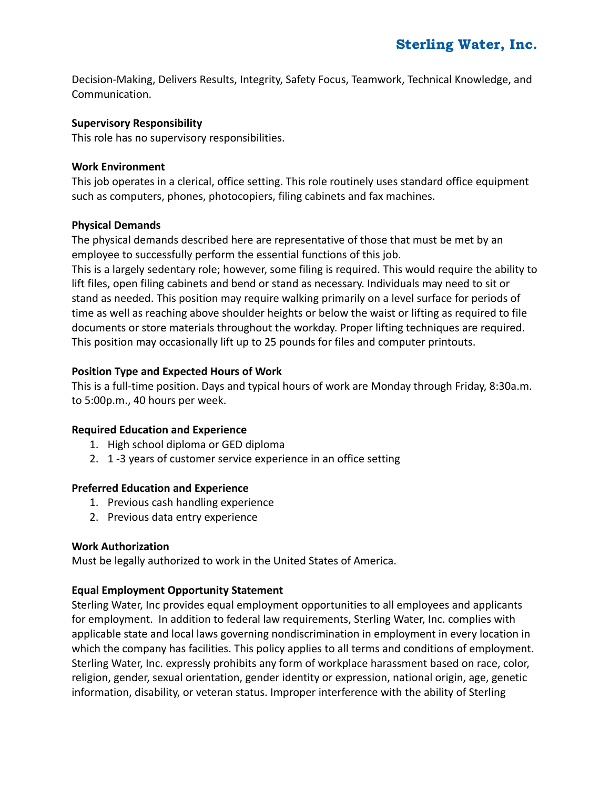Decision-Making, Delivers Results, Integrity, Safety Focus, Teamwork, Technical Knowledge, and Communication.

#### **Supervisory Responsibility**

This role has no supervisory responsibilities.

#### **Work Environment**

This job operates in a clerical, office setting. This role routinely uses standard office equipment such as computers, phones, photocopiers, filing cabinets and fax machines.

#### **Physical Demands**

The physical demands described here are representative of those that must be met by an employee to successfully perform the essential functions of this job.

This is a largely sedentary role; however, some filing is required. This would require the ability to lift files, open filing cabinets and bend or stand as necessary. Individuals may need to sit or stand as needed. This position may require walking primarily on a level surface for periods of time as well as reaching above shoulder heights or below the waist or lifting as required to file documents or store materials throughout the workday. Proper lifting techniques are required. This position may occasionally lift up to 25 pounds for files and computer printouts.

#### **Position Type and Expected Hours of Work**

This is a full-time position. Days and typical hours of work are Monday through Friday, 8:30a.m. to 5:00p.m., 40 hours per week.

#### **Required Education and Experience**

- 1. High school diploma or GED diploma
- 2. 1 -3 years of customer service experience in an office setting

#### **Preferred Education and Experience**

- 1. Previous cash handling experience
- 2. Previous data entry experience

#### **Work Authorization**

Must be legally authorized to work in the United States of America.

#### **Equal Employment Opportunity Statement**

Sterling Water, Inc provides equal employment opportunities to all employees and applicants for employment. In addition to federal law requirements, Sterling Water, Inc. complies with applicable state and local laws governing nondiscrimination in employment in every location in which the company has facilities. This policy applies to all terms and conditions of employment. Sterling Water, Inc. expressly prohibits any form of workplace harassment based on race, color, religion, gender, sexual orientation, gender identity or expression, national origin, age, genetic information, disability, or veteran status. Improper interference with the ability of Sterling